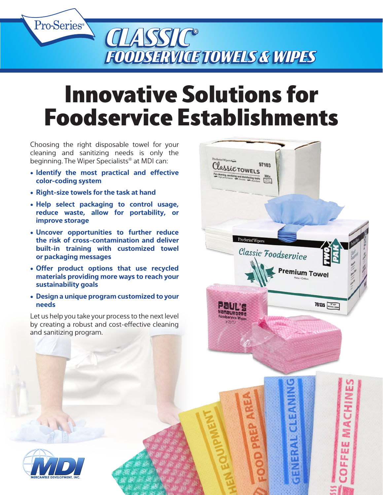

## Innovative Solutions for Foodservice Establishments

Classic TOWELS

the production of the control of the control of the control of the control of the control of the control of the control of the control of the control of the control of the control of the control of the control of the contr

Pro-Series<sup>\*</sup>Wir

: ENTE HamBurge

97103

Classic Foodservice

**Premium Towel** 

78135 Basemann

MACHIN

**FFEEE** 

Choosing the right disposable towel for your cleaning and sanitizing needs is only the beginning. The Wiper Specialists® at MDI can:

- **• Identify the most practical and effective color-coding system**
- **• Right-size towels for the task at hand**
- **• Help select packaging to control usage, reduce waste, allow for portability, or improve storage**
- **• Uncover opportunities to further reduce the risk of cross-contamination and deliver built-in training with customized towel or packaging messages**
- **• Offer product options that use recycled materials providing more ways to reach your sustainability goals**
- **• Design a unique program customized to your needs**

Let us help you take your process to the next level by creating a robust and cost-effective cleaning and sanitizing program.